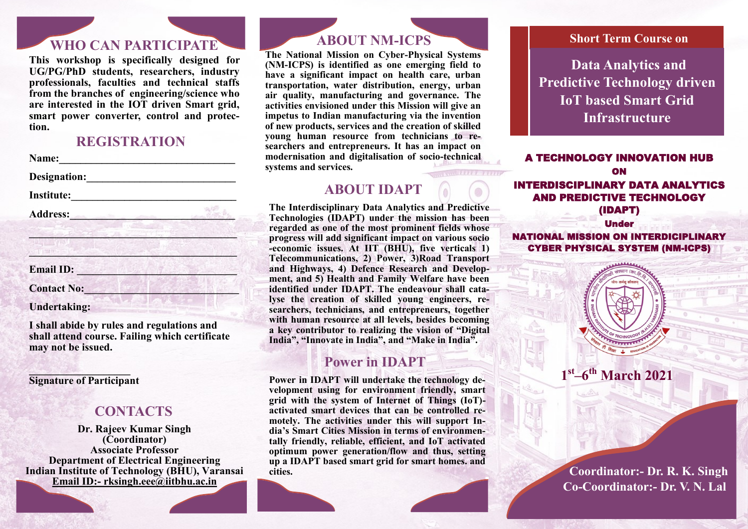# **WHO CAN PARTICIPATE**

**This workshop is specifically designed for UG/PG/PhD students, researchers, industry professionals, faculties and technical staffs from the branches of engineering/science who are interested in the IOT driven Smart grid, smart power converter, control and protection.** 

#### **REGISTRATION**

Name:

**Designation:\_\_\_\_\_\_\_\_\_\_\_\_\_\_\_\_\_\_\_\_\_\_\_\_\_\_\_\_**

**Institute:\_\_\_\_\_\_\_\_\_\_\_\_\_\_\_\_\_\_\_\_\_\_\_\_\_\_\_\_\_\_\_\_\_\_** 

**Address:\_\_\_\_\_\_\_\_\_\_\_\_\_\_\_\_\_\_\_\_\_\_\_\_\_\_\_\_\_\_\_**

| <b>Email ID:</b>    |  |
|---------------------|--|
| <b>Contact No:</b>  |  |
| <b>Undertaking:</b> |  |

**I shall abide by rules and regulations and shall attend course. Failing which certificate may not be issued.** 

**\_\_\_\_\_\_\_\_\_\_\_\_\_\_\_\_\_\_\_ Signature of Participant**

#### **CONTACTS**

**Dr. Rajeev Kumar Singh (Coordinator) Associate Professor Department of Electrical Engineering Indian Institute of Technology (BHU), Varansai Email ID:- [rksingh.eee@iitbhu.ac.in](mailto:rksingh.eee@iitbhu.ac.in)**

### **ABOUT NM-ICPS**

**The National Mission on Cyber-Physical Systems (NM-ICPS) is identified as one emerging field to have a significant impact on health care, urban transportation, water distribution, energy, urban air quality, manufacturing and governance. The activities envisioned under this Mission will give an impetus to Indian manufacturing via the invention of new products, services and the creation of skilled young human resource from technicians to researchers and entrepreneurs. It has an impact on modernisation and digitalisation of socio-technical systems and services.** 

# **ABOUT IDAPT**

**The Interdisciplinary Data Analytics and Predictive Technologies (IDAPT) under the mission has been regarded as one of the most prominent fields whose progress will add significant impact on various socio -economic issues. At IIT (BHU), five verticals 1) Telecommunications, 2) Power, 3)Road Transport and Highways, 4) Defence Research and Development, and 5) Health and Family Welfare have been identified under IDAPT. The endeavour shall catalyse the creation of skilled young engineers, researchers, technicians, and entrepreneurs, together with human resource at all levels, besides becoming a key contributor to realizing the vision of "Digital India", "Innovate in India", and "Make in India".** 

# **Power in IDAPT**

**Power in IDAPT will undertake the technology development using for environment friendly, smart grid with the system of Internet of Things (IoT) activated smart devices that can be controlled remotely. The activities under this will support India's Smart Cities Mission in terms of environmentally friendly, reliable, efficient, and IoT activated optimum power generation/flow and thus, setting up a IDAPT based smart grid for smart homes. and cities.** 

### **Short Term Course on Short Term Course on**

**Data Analytics and Data Analytics and Predictive Technology Predictive Technology driven driven IoT based Smart IoT based Smart Grid Grid Infrastructure** 

A TECHNOLOGY INNOVATION HUB ON INTERDISCIPLINARY DATA ANALYTICS AND PREDICTIVE TECHNOLOGY (IDAPT)

Under NATIONAL MISSION ON INTERDICIPLINARY CYBER PHYSICAL SYSTEM (NM-ICPS)

**1 st –6 th March 2021** 

 **Coordinator:- Dr. R. K. Singh Co-Coordinator:- Dr. V. N. Lal**